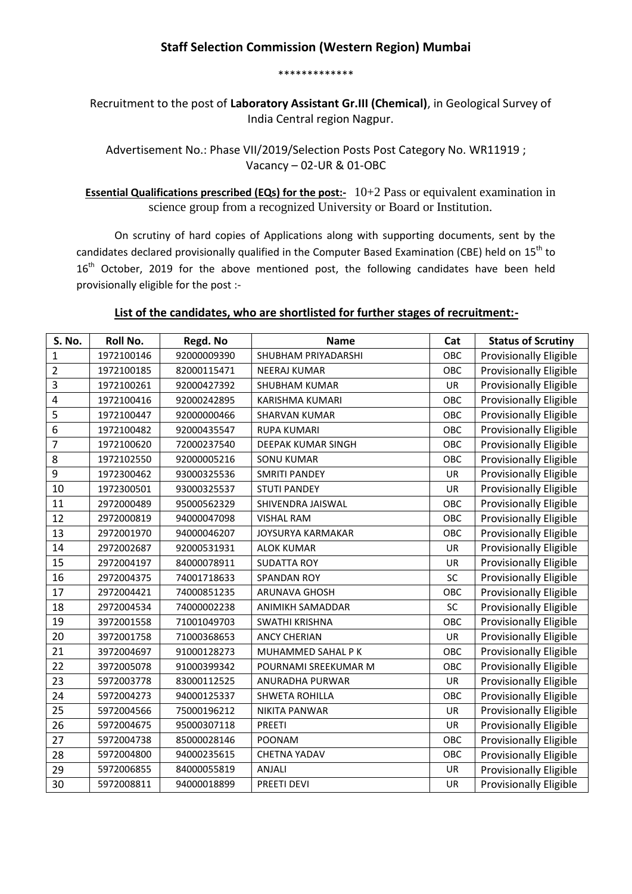\*\*\*\*\*\*\*\*\*\*\*\*\*

Recruitment to the post of **Laboratory Assistant Gr.III (Chemical)**, in Geological Survey of India Central region Nagpur.

Advertisement No.: Phase VII/2019/Selection Posts Post Category No. WR11919 ; Vacancy – 02-UR & 01-OBC

**Essential Qualifications prescribed (EQs) for the post:-** 10+2 Pass or equivalent examination in science group from a recognized University or Board or Institution.

On scrutiny of hard copies of Applications along with supporting documents, sent by the candidates declared provisionally qualified in the Computer Based Examination (CBE) held on 15<sup>th</sup> to 16<sup>th</sup> October, 2019 for the above mentioned post, the following candidates have been held provisionally eligible for the post :-

## **List of the candidates, who are shortlisted for further stages of recruitment:-**

| S. No.         | <b>Roll No.</b> | Regd. No    | <b>Name</b>              | Cat       | <b>Status of Scrutiny</b>     |
|----------------|-----------------|-------------|--------------------------|-----------|-------------------------------|
| 1              | 1972100146      | 92000009390 | SHUBHAM PRIYADARSHI      | OBC       | <b>Provisionally Eligible</b> |
| $\overline{2}$ | 1972100185      | 82000115471 | <b>NEERAJ KUMAR</b>      | OBC       | <b>Provisionally Eligible</b> |
| 3              | 1972100261      | 92000427392 | SHUBHAM KUMAR            | UR        | Provisionally Eligible        |
| 4              | 1972100416      | 92000242895 | <b>KARISHMA KUMARI</b>   | OBC       | <b>Provisionally Eligible</b> |
| 5              | 1972100447      | 92000000466 | <b>SHARVAN KUMAR</b>     | OBC       | Provisionally Eligible        |
| 6              | 1972100482      | 92000435547 | <b>RUPA KUMARI</b>       | OBC       | <b>Provisionally Eligible</b> |
| $\overline{7}$ | 1972100620      | 72000237540 | DEEPAK KUMAR SINGH       | OBC       | <b>Provisionally Eligible</b> |
| 8              | 1972102550      | 92000005216 | <b>SONU KUMAR</b>        | OBC       | Provisionally Eligible        |
| 9              | 1972300462      | 93000325536 | <b>SMRITI PANDEY</b>     | <b>UR</b> | <b>Provisionally Eligible</b> |
| 10             | 1972300501      | 93000325537 | <b>STUTI PANDEY</b>      | UR        | Provisionally Eligible        |
| 11             | 2972000489      | 95000562329 | SHIVENDRA JAISWAL        | OBC       | <b>Provisionally Eligible</b> |
| 12             | 2972000819      | 94000047098 | <b>VISHAL RAM</b>        | OBC       | Provisionally Eligible        |
| 13             | 2972001970      | 94000046207 | <b>JOYSURYA KARMAKAR</b> | OBC       | Provisionally Eligible        |
| 14             | 2972002687      | 92000531931 | <b>ALOK KUMAR</b>        | UR        | Provisionally Eligible        |
| 15             | 2972004197      | 84000078911 | <b>SUDATTA ROY</b>       | UR        | <b>Provisionally Eligible</b> |
| 16             | 2972004375      | 74001718633 | <b>SPANDAN ROY</b>       | SC        | Provisionally Eligible        |
| 17             | 2972004421      | 74000851235 | ARUNAVA GHOSH            | OBC       | <b>Provisionally Eligible</b> |
| 18             | 2972004534      | 74000002238 | ANIMIKH SAMADDAR         | SC        | <b>Provisionally Eligible</b> |
| 19             | 3972001558      | 71001049703 | SWATHI KRISHNA           | OBC       | <b>Provisionally Eligible</b> |
| 20             | 3972001758      | 71000368653 | <b>ANCY CHERIAN</b>      | <b>UR</b> | Provisionally Eligible        |
| 21             | 3972004697      | 91000128273 | MUHAMMED SAHAL P K       | OBC       | <b>Provisionally Eligible</b> |
| 22             | 3972005078      | 91000399342 | POURNAMI SREEKUMAR M     | OBC       | Provisionally Eligible        |
| 23             | 5972003778      | 83000112525 | ANURADHA PURWAR          | <b>UR</b> | <b>Provisionally Eligible</b> |
| 24             | 5972004273      | 94000125337 | <b>SHWETA ROHILLA</b>    | OBC       | <b>Provisionally Eligible</b> |
| 25             | 5972004566      | 75000196212 | <b>NIKITA PANWAR</b>     | UR        | <b>Provisionally Eligible</b> |
| 26             | 5972004675      | 95000307118 | <b>PREETI</b>            | UR        | <b>Provisionally Eligible</b> |
| 27             | 5972004738      | 85000028146 | <b>POONAM</b>            | OBC       | <b>Provisionally Eligible</b> |
| 28             | 5972004800      | 94000235615 | <b>CHETNA YADAV</b>      | OBC       | <b>Provisionally Eligible</b> |
| 29             | 5972006855      | 84000055819 | <b>ANJALI</b>            | <b>UR</b> | <b>Provisionally Eligible</b> |
| 30             | 5972008811      | 94000018899 | PREETI DEVI              | UR        | <b>Provisionally Eligible</b> |